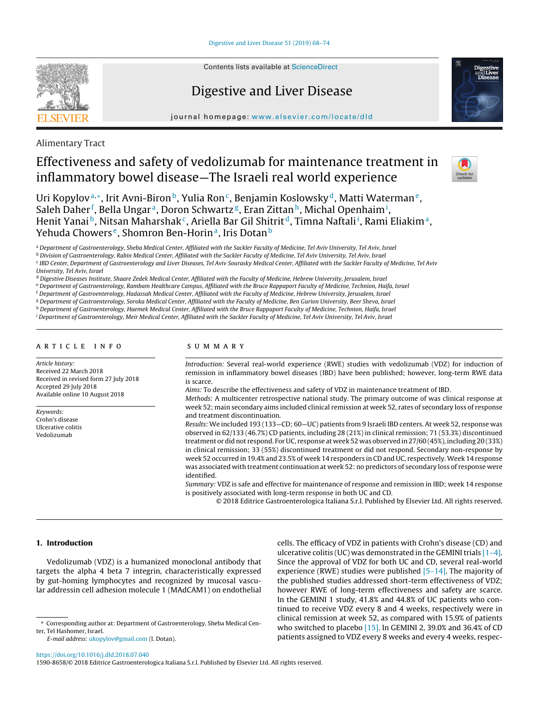

Contents lists available at [ScienceDirect](http://www.sciencedirect.com/science/journal/15908658)

# Digestive and Liver Disease



journal homepage: [www.elsevier.com/locate/dld](http://www.elsevier.com/locate/dld)

Alimentary Tract

# Effectiveness and safety of vedolizumab for maintenance treatment in inflammatory bowel disease—The Israeli real world experience



Uri Kopylov<sup>a,∗</sup>, Irit Avni-Biron<sup>b</sup>, Yulia Ron<sup>c</sup>, Benjamin Koslowsky<sup>d</sup>, Matti Waterman<sup>e</sup>, Saleh Daher $^{\rm f}$ , Bella Ungar $^{\rm a}$ , Doron Schwartz $^{\rm g}$ , Eran Zittan $^{\rm h}$ , Michal Openhaim $^{\rm i}$ , Henit Yanai<sup>b</sup>, Nitsan Maharshak<sup>c</sup>, Ariella Bar Gil Shitrit<sup>d</sup>, Timna Naftali<sup>i</sup>, Rami Eliakim<sup>a</sup>, Yehuda Chowers<sup>e</sup>, Shomron Ben-Horin<sup>a</sup>, Iris Dotan<sup>b</sup>

a Department of Gastroenterology, Sheba Medical Center, Affiliated with the Sackler Faculty of Medicine, Tel Aviv, University, Tel Aviv, Israel

**b Division of Gastroenterology, Rabin Medical Center, Affiliated with the Sackler Faculty of Medicine, Tel Aviv University, Tel Aviv, Israel** 

<sup>c</sup> IBD Center, Department of Gastroenterology and Liver Diseases, Tel Aviv Sourasky Medical Center, Affiliated with the Sackler Faculty of Medicine, Tel Aviv University, Tel Aviv, Israel

<sup>d</sup> Digestive Diseases Institute, Shaare Zedek Medical Center, Affiliated with the Faculty of Medicine, Hebrew University, Jerusalem, Israel

<sup>e</sup> Department of Gastroenterology, Rambam Healthcare Campus, Affiliated with the Bruce Rappaport Faculty of Medicine, Technion, Haifa, Israel

<sup>f</sup> Department of Gastroenterology, Hadassah Medical Center, Affiliated with the Faculty of Medicine, Hebrew University, Jerusalem, Israel

<sup>g</sup> Department of Gastroenterology, Soroka Medical Center, Affiliated with the Faculty of Medicine, Ben Gurion University, Beer Sheva, Israel

h Department of Gastroenterology, Haemek Medical Center, Affiliated with the Bruce Rappaport Faculty of Medicine, Technion, Haifa, Israel

<sup>i</sup> Department of Gastroenterology, Meir Medical Center, Affiliated with the Sackler Faculty of Medicine, Tel Aviv University, Tel Aviv, Israel

## a r t i c l e i n f o

Article history: Received 22 March 2018 Received in revised form 27 July 2018 Accepted 29 July 2018 Available online 10 August 2018

Keywords: Crohn's disease Ulcerative colitis Vedolizumab

## s u m m a r y

Introduction: Several real-world experience (RWE) studies with vedolizumab (VDZ) for induction of remission in inflammatory bowel diseases (IBD) have been published; however, long-term RWE data is scarce.

Aims: To describe the effectiveness and safety of VDZ in maintenance treatment of IBD.

Methods: A multicenter retrospective national study. The primary outcome of was clinical response at week 52; main secondary aims included clinical remission at week 52, rates of secondary loss of response and treatment discontinuation.

Results: We included 193 (133—CD; 60—UC) patients from 9 Israeli IBD centers. At week 52, response was observed in 62/133 (46.7%) CD patients, including 28 (21%) in clinical remission; 71 (53.3%) discontinued treatment or did not respond. For UC, response at week 52 was observed in 27/60 (45%), including 20 (33%) in clinical remission; 33 (55%) discontinued treatment or did not respond. Secondary non-response by week 52 occurred in 19.4% and 23.5% of week 14 responders in CD and UC, respectively.Week 14 response was associated with treatment continuation at week 52: no predictors of secondary loss of response were identified.

Summary: VDZ is safe and effective for maintenance of response and remission in IBD; week 14 response is positively associated with long-term response in both UC and CD.

© 2018 Editrice Gastroenterologica Italiana S.r.l. Published by Elsevier Ltd. All rights reserved.

### **1. Introduction**

Vedolizumab (VDZ) is a humanized monoclonal antibody that targets the alpha 4 beta 7 integrin, characteristically expressed by gut-homing lymphocytes and recognized by mucosal vascular addressin cell adhesion molecule 1 (MAdCAM1) on endothelial

∗ Corresponding author at: Department of Gastroenterology, Sheba Medical Center, Tel Hashomer, Israel.

E-mail address: [ukopylov@gmail.com](mailto:ukopylov@gmail.com) (I. Dotan).

cells. The efficacy of VDZ in patients with Crohn's disease (CD) and ulcerative colitis (UC) was demonstrated in the GEMINI trials  $[1-4]$ . Since the approval of VDZ for both UC and CD, several real-world experience (RWE) studies were published [\[5–14\].](#page-5-0) The majority of the published studies addressed short-term effectiveness of VDZ; however RWE of long-term effectiveness and safety are scarce. In the GEMINI 1 study, 41.8% and 44.8% of UC patients who continued to receive VDZ every 8 and 4 weeks, respectively were in clinical remission at week 52, as compared with 15.9% of patients who switched to placebo [\[15\].](#page-6-0) In GEMINI 2, 39.0% and 36.4% of CD patients assigned to VDZ every 8 weeks and every 4 weeks, respec-

<https://doi.org/10.1016/j.dld.2018.07.040>

1590-8658/© 2018 Editrice Gastroenterologica Italiana S.r.l. Published by Elsevier Ltd. All rights reserved.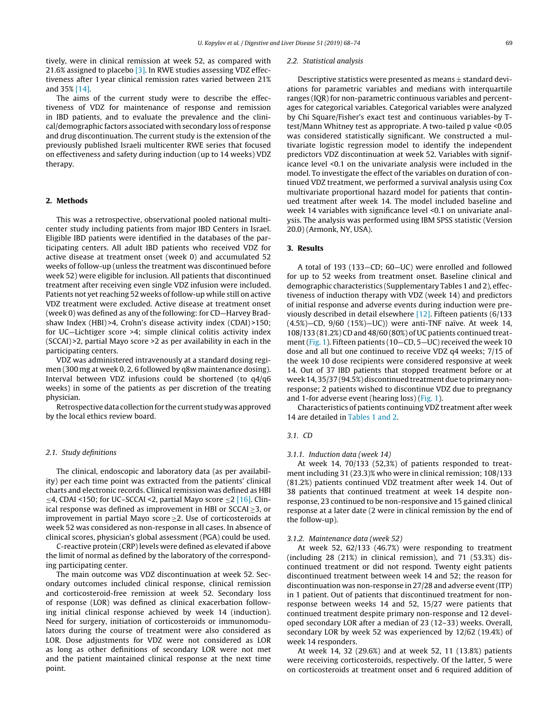tively, were in clinical remission at week 52, as compared with 21.6% assigned to placebo [\[3\].](#page-5-0) In RWE studies assessing VDZ effectiveness after 1 year clinical remission rates varied between 21% and 35% [\[14\].](#page-6-0)

The aims of the current study were to describe the effectiveness of VDZ for maintenance of response and remission in IBD patients, and to evaluate the prevalence and the clinical/demographic factors associated with secondary loss of response and drug discontinuation. The current study is the extension of the previously published Israeli multicenter RWE series that focused on effectiveness and safety during induction (up to 14 weeks) VDZ therapy.

#### **2. Methods**

This was a retrospective, observational pooled national multicenter study including patients from major IBD Centers in Israel. Eligible IBD patients were identified in the databases of the participating centers. All adult IBD patients who received VDZ for active disease at treatment onset (week 0) and accumulated 52 weeks of follow-up (unless the treatment was discontinued before week 52) were eligible for inclusion. All patients that discontinued treatment after receiving even single VDZ infusion were included. Patients not yet reaching 52 weeks of follow-up while still on active VDZ treatment were excluded. Active disease at treatment onset (week 0) was defined as any of the following: for CD—Harvey Bradshaw Index (HBI) >4, Crohn's disease activity index (CDAI) >150; for UC—Lichtiger score >4; simple clinical colitis activity index (SCCAI) >2, partial Mayo score >2 as per availability in each in the participating centers.

VDZ was administered intravenously at a standard dosing regimen (300 mg at week 0, 2, 6 followed by q8w maintenance dosing). Interval between VDZ infusions could be shortened (to q4/q6 weeks) in some of the patients as per discretion of the treating physician.

Retrospective data collection for the current study was approved by the local ethics review board.

#### 2.1. Study definitions

The clinical, endoscopic and laboratory data (as per availability) per each time point was extracted from the patients' clinical charts and electronic records. Clinical remission was defined as HBI  $\leq$ 4, CDAI <150; for UC–SCCAI <2, partial Mayo score  $\leq$ 2 [\[16\].](#page-6-0) Clinical response was defined as improvement in HBI or  $SCCAI \geq 3$ , or improvement in partial Mayo score  $\geq$  2. Use of corticosteroids at week 52 was considered as non-response in all cases. In absence of clinical scores, physician's global assessment (PGA) could be used.

C-reactive protein (CRP)levels were defined as elevated if above the limit of normal as defined by the laboratory of the corresponding participating center.

The main outcome was VDZ discontinuation at week 52. Secondary outcomes included clinical response, clinical remission and corticosteroid-free remission at week 52. Secondary loss of response (LOR) was defined as clinical exacerbation following initial clinical response achieved by week 14 (induction). Need for surgery, initiation of corticosteroids or immunomodulators during the course of treatment were also considered as LOR. Dose adjustments for VDZ were not considered as LOR as long as other definitions of secondary LOR were not met and the patient maintained clinical response at the next time point.

#### 2.2. Statistical analysis

Descriptive statistics were presented as means  $\pm$  standard deviations for parametric variables and medians with interquartile ranges (IQR) for non-parametric continuous variables and percentages for categorical variables. Categorical variables were analyzed by Chi Square/Fisher's exact test and continuous variables-by Ttest/Mann Whitney test as appropriate. A two-tailed p value <0.05 was considered statistically significant. We constructed a multivariate logistic regression model to identify the independent predictors VDZ discontinuation at week 52. Variables with significance level <0.1 on the univariate analysis were included in the model. To investigate the effect of the variables on duration of continued VDZ treatment, we performed a survival analysis using Cox multivariate proportional hazard model for patients that continued treatment after week 14. The model included baseline and week 14 variables with significance level <0.1 on univariate analysis. The analysis was performed using IBM SPSS statistic (Version 20.0) (Armonk, NY, USA).

#### **3. Results**

A total of 193 (133—CD; 60—UC) were enrolled and followed for up to 52 weeks from treatment onset. Baseline clinical and demographic characteristics (Supplementary Tables 1 and 2), effectiveness of induction therapy with VDZ (week 14) and predictors of initial response and adverse events during induction were previously described in detail elsewhere [\[12\].](#page-6-0) Fifteen patients (6/133 (4.5%)—CD, 9/60 (15%)—UC)) were anti-TNF naïve. At week 14, 108/133 (81.2%) CD and 48/60 (80%) of UC patients continued treatment([Fig.](#page-2-0) 1). Fifteen patients (10—CD, 5—UC) received the week 10 dose and all but one continued to receive VDZ q4 weeks; 7/15 of the week 10 dose recipients were considered responsive at week 14. Out of 37 IBD patients that stopped treatment before or at week 14, 35/37 (94.5%) discontinued treatment due to primary nonresponse; 2 patients wished to discontinue VDZ due to pregnancy and 1-for adverse event (hearing loss) ([Fig.](#page-2-0) 1).

Characteristics of patients continuing VDZ treatment after week 14 are detailed in [Tables](#page-2-0) 1 and 2.

#### 3.1. CD

### 3.1.1. Induction data (week 14)

At week 14, 70/133 (52,3%) of patients responded to treatment including 31 (23.3)% who were in clinical remission; 108/133 (81.2%) patients continued VDZ treatment after week 14. Out of 38 patients that continued treatment at week 14 despite nonresponse, 23 continued to be non-responsive and 15 gained clinical response at a later date (2 were in clinical remission by the end of the follow-up).

#### 3.1.2. Maintenance data (week 52)

At week 52, 62/133 (46.7%) were responding to treatment (including 28 (21%) in clinical remission), and 71 (53.3%) discontinued treatment or did not respond. Twenty eight patients discontinued treatment between week 14 and 52; the reason for discontinuation was non-response in 27/28 and adverse event(ITP) in 1 patient. Out of patients that discontinued treatment for nonresponse between weeks 14 and 52, 15/27 were patients that continued treatment despite primary non-response and 12 developed secondary LOR after a median of 23 (12–33) weeks. Overall, secondary LOR by week 52 was experienced by 12/62 (19.4%) of week 14 responders.

At week 14, 32 (29.6%) and at week 52, 11 (13.8%) patients were receiving corticosteroids, respectively. Of the latter, 5 were on corticosteroids at treatment onset and 6 required addition of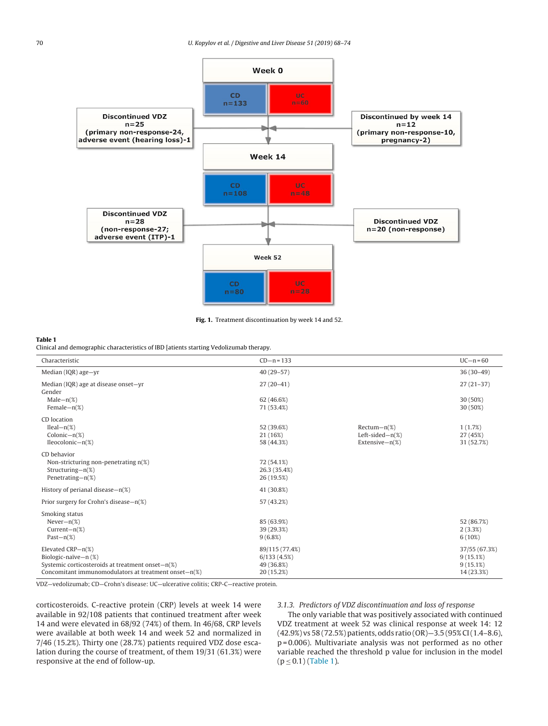<span id="page-2-0"></span>

**Fig. 1.** Treatment discontinuation by week 14 and 52.

## **Table 1**

Clinical and demographic characteristics of IBD [atients starting Vedolizumab therapy.

| Characteristic<br>$CD - n = 133$<br>$UC - n = 60$<br>$40(29-57)$<br>$36(30-49)$<br>Median (IQR) age-yr<br>$27(20-41)$<br>$27(21-37)$<br>Median (IQR) age at disease onset-yr<br>Gender<br>$Male-n(\%)$<br>62 (46.6%)<br>30 (50%)<br>30 (50%)<br>Female $-n(\%)$<br>71 (53.4%)<br>CD location<br>$Ileal-n(\%)$<br>52 (39.6%)<br>$Rectum-n(\%)$<br>1(1.7%)<br>Colonic $-n(\%)$<br>21 (16%)<br>Left-sided $-n(\%)$<br>27 (45%)<br>Ileocolonic $-n(\%)$<br>Extensive $-n(\%)$<br>31 (52.7%)<br>58 (44.3%)<br>CD behavior<br>Non-stricturing non-penetrating n(%)<br>72 (54.1%)<br>Structuring $-n(\%)$<br>26.3 (35.4%)<br>Penetrating- $n(\%)$<br>26 (19.5%)<br>History of perianal disease $-n(\%)$<br>41 (30.8%)<br>Prior surgery for Crohn's disease-n(%)<br>57 (43.2%)<br>Smoking status<br>85 (63.9%)<br>52 (86.7%)<br>$Never-n(\%)$<br>$Current-n(\%)$<br>39 (29.3%)<br>2(3.3%)<br>Past $-n(\%)$<br>9(6.8%)<br>$6(10\%)$<br>Elevated CRP-n(%)<br>89/115 (77.4%)<br>37/55 (67.3%)<br>Biologic-naïve-n (%)<br>6/133(4.5%)<br>9(15.1%)<br>Systemic corticosteroids at treatment onset-n(%)<br>49 (36.8%)<br>9(15.1%)<br>Concomitant immunomodulators at treatment onset-n(%)<br>14 (23.3%)<br>20 (15.2%) |  |  |
|---------------------------------------------------------------------------------------------------------------------------------------------------------------------------------------------------------------------------------------------------------------------------------------------------------------------------------------------------------------------------------------------------------------------------------------------------------------------------------------------------------------------------------------------------------------------------------------------------------------------------------------------------------------------------------------------------------------------------------------------------------------------------------------------------------------------------------------------------------------------------------------------------------------------------------------------------------------------------------------------------------------------------------------------------------------------------------------------------------------------------------------------------------------------------------------------------------|--|--|
|                                                                                                                                                                                                                                                                                                                                                                                                                                                                                                                                                                                                                                                                                                                                                                                                                                                                                                                                                                                                                                                                                                                                                                                                         |  |  |
|                                                                                                                                                                                                                                                                                                                                                                                                                                                                                                                                                                                                                                                                                                                                                                                                                                                                                                                                                                                                                                                                                                                                                                                                         |  |  |
|                                                                                                                                                                                                                                                                                                                                                                                                                                                                                                                                                                                                                                                                                                                                                                                                                                                                                                                                                                                                                                                                                                                                                                                                         |  |  |
|                                                                                                                                                                                                                                                                                                                                                                                                                                                                                                                                                                                                                                                                                                                                                                                                                                                                                                                                                                                                                                                                                                                                                                                                         |  |  |
|                                                                                                                                                                                                                                                                                                                                                                                                                                                                                                                                                                                                                                                                                                                                                                                                                                                                                                                                                                                                                                                                                                                                                                                                         |  |  |
|                                                                                                                                                                                                                                                                                                                                                                                                                                                                                                                                                                                                                                                                                                                                                                                                                                                                                                                                                                                                                                                                                                                                                                                                         |  |  |
|                                                                                                                                                                                                                                                                                                                                                                                                                                                                                                                                                                                                                                                                                                                                                                                                                                                                                                                                                                                                                                                                                                                                                                                                         |  |  |
|                                                                                                                                                                                                                                                                                                                                                                                                                                                                                                                                                                                                                                                                                                                                                                                                                                                                                                                                                                                                                                                                                                                                                                                                         |  |  |
|                                                                                                                                                                                                                                                                                                                                                                                                                                                                                                                                                                                                                                                                                                                                                                                                                                                                                                                                                                                                                                                                                                                                                                                                         |  |  |
|                                                                                                                                                                                                                                                                                                                                                                                                                                                                                                                                                                                                                                                                                                                                                                                                                                                                                                                                                                                                                                                                                                                                                                                                         |  |  |
|                                                                                                                                                                                                                                                                                                                                                                                                                                                                                                                                                                                                                                                                                                                                                                                                                                                                                                                                                                                                                                                                                                                                                                                                         |  |  |
|                                                                                                                                                                                                                                                                                                                                                                                                                                                                                                                                                                                                                                                                                                                                                                                                                                                                                                                                                                                                                                                                                                                                                                                                         |  |  |
|                                                                                                                                                                                                                                                                                                                                                                                                                                                                                                                                                                                                                                                                                                                                                                                                                                                                                                                                                                                                                                                                                                                                                                                                         |  |  |
|                                                                                                                                                                                                                                                                                                                                                                                                                                                                                                                                                                                                                                                                                                                                                                                                                                                                                                                                                                                                                                                                                                                                                                                                         |  |  |
|                                                                                                                                                                                                                                                                                                                                                                                                                                                                                                                                                                                                                                                                                                                                                                                                                                                                                                                                                                                                                                                                                                                                                                                                         |  |  |
|                                                                                                                                                                                                                                                                                                                                                                                                                                                                                                                                                                                                                                                                                                                                                                                                                                                                                                                                                                                                                                                                                                                                                                                                         |  |  |
|                                                                                                                                                                                                                                                                                                                                                                                                                                                                                                                                                                                                                                                                                                                                                                                                                                                                                                                                                                                                                                                                                                                                                                                                         |  |  |
|                                                                                                                                                                                                                                                                                                                                                                                                                                                                                                                                                                                                                                                                                                                                                                                                                                                                                                                                                                                                                                                                                                                                                                                                         |  |  |
|                                                                                                                                                                                                                                                                                                                                                                                                                                                                                                                                                                                                                                                                                                                                                                                                                                                                                                                                                                                                                                                                                                                                                                                                         |  |  |
|                                                                                                                                                                                                                                                                                                                                                                                                                                                                                                                                                                                                                                                                                                                                                                                                                                                                                                                                                                                                                                                                                                                                                                                                         |  |  |
|                                                                                                                                                                                                                                                                                                                                                                                                                                                                                                                                                                                                                                                                                                                                                                                                                                                                                                                                                                                                                                                                                                                                                                                                         |  |  |
|                                                                                                                                                                                                                                                                                                                                                                                                                                                                                                                                                                                                                                                                                                                                                                                                                                                                                                                                                                                                                                                                                                                                                                                                         |  |  |
|                                                                                                                                                                                                                                                                                                                                                                                                                                                                                                                                                                                                                                                                                                                                                                                                                                                                                                                                                                                                                                                                                                                                                                                                         |  |  |

VDZ—vedolizumab; CD—Crohn's disease: UC—ulcerative colitis; CRP-C—reactive protein.

corticosteroids. C-reactive protein (CRP) levels at week 14 were available in 92/108 patients that continued treatment after week 14 and were elevated in 68/92 (74%) of them. In 46/68, CRP levels were available at both week 14 and week 52 and normalized in 7/46 (15.2%). Thirty one (28.7%) patients required VDZ dose escalation during the course of treatment, of them 19/31 (61.3%) were responsive at the end of follow-up.

#### 3.1.3. Predictors of VDZ discontinuation and loss of response

The only variable that was positively associated with continued VDZ treatment at week 52 was clinical response at week 14: 12 (42.9%) vs 58 (72.5%) patients, odds ratio (OR)—3.5 (95%CI(1.4–8.6), p = 0.006). Multivariate analysis was not performed as no other variable reached the threshold p value for inclusion in the model  $(p \le 0.1)$  (Table 1).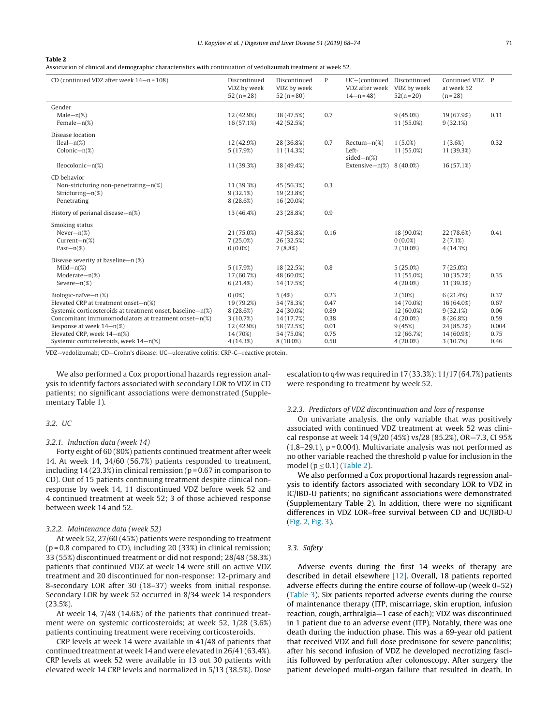#### **Table 2**

Association of clinical and demographic characteristics with continuation of vedolizumab treatment at week 52.

| CD (continued VDZ after week $14 - n = 108$ )                                                                                                                                                                                                | Discontinued<br>VDZ by week<br>$52(n=28)$                                | Discontinued<br>VDZ by week<br>$52(n=80)$                                   | P                                            | UC-(continued<br>VDZ after week<br>$14 - n = 48$ | Discontinued<br>VDZ by week<br>$52(n=20)$                                    | Continued VDZ P<br>at week 52<br>$(n = 28)$                                |                                               |
|----------------------------------------------------------------------------------------------------------------------------------------------------------------------------------------------------------------------------------------------|--------------------------------------------------------------------------|-----------------------------------------------------------------------------|----------------------------------------------|--------------------------------------------------|------------------------------------------------------------------------------|----------------------------------------------------------------------------|-----------------------------------------------|
| Gender<br>$Male-n(\%)$<br>Female $-n(\%)$                                                                                                                                                                                                    | 12 (42.9%)<br>16 (57.1%)                                                 | 38 (47.5%)<br>42 (52.5%)                                                    | 0.7                                          |                                                  | $9(45.0\%)$<br>11 (55.0%)                                                    | 19 (67.9%)<br>9(32.1%)                                                     | 0.11                                          |
| Disease location<br>$Ileal-n(\%)$<br>$Colonic-n(\%)$                                                                                                                                                                                         | 12 (42.9%)<br>5(17.9%)                                                   | 28 (36.8%)<br>11 (14.3%)                                                    | 0.7                                          | $Rectum-n(\%)$<br>Left-<br>$sided - n(\%)$       | $1(5.0\%)$<br>11 (55.0%)                                                     | 1(3.6%)<br>11 (39.3%)                                                      | 0.32                                          |
| Ileocolonic $-n(\%)$                                                                                                                                                                                                                         | 11 (39.3%)                                                               | 38 (49.4%)                                                                  |                                              | Extensive $-n(\%)$                               | $8(40.0\%)$                                                                  | 16 (57.1%)                                                                 |                                               |
| CD behavior<br>Non-stricturing non-penetrating-n(%)<br>Stricturing $-n(\%)$<br>Penetrating                                                                                                                                                   | 11 (39.3%)<br>9(32.1%)<br>8(28.6%)                                       | 45 (56.3%)<br>19 (23.8%)<br>16 (20.0%)                                      | 0.3                                          |                                                  |                                                                              |                                                                            |                                               |
| History of perianal disease-n(%)                                                                                                                                                                                                             | 13 (46.4%)                                                               | 23 (28.8%)                                                                  | 0.9                                          |                                                  |                                                                              |                                                                            |                                               |
| Smoking status<br>$Never-n(\%)$<br>$Current-n(\%)$<br>Past $-n(\%)$                                                                                                                                                                          | 21 (75.0%)<br>7(25.0%)<br>$0(0.0\%)$                                     | 47 (58.8%)<br>26 (32.5%)<br>7(8.8%)                                         | 0.16                                         |                                                  | 18 (90.0%)<br>$0(0.0\%)$<br>$2(10.0\%)$                                      | 22 (78.6%)<br>2(7.1%)<br>4(14.3%)                                          | 0.41                                          |
| Disease severity at baseline-n (%)<br>$Mid-n(\%)$<br>Moderate $-n$ (%)<br>Severe $-n(\%)$                                                                                                                                                    | 5(17.9%)<br>17 (60.7%)<br>6(21.4%)                                       | 18 (22.5%)<br>48 (60.0%)<br>14 (17.5%)                                      | 0.8                                          |                                                  | 5(25.0%)<br>11 (55.0%)<br>$4(20.0\%)$                                        | 7(25.0%)<br>10 (35.7%)<br>11 (39.3%)                                       | 0.35                                          |
| Biologic-naïve-n (%)<br>Elevated CRP at treatment onset-n(%)<br>Systemic corticosteroids at treatment onset, baseline-n(%)<br>Concomitant immunomodulators at treatment onset-n(%)<br>Response at week 14-n(%)<br>Elevated CRP, week 14-n(%) | $0(0\%)$<br>19 (79.2%)<br>8(28.6%)<br>3(10.7%)<br>12 (42.9%)<br>14 (70%) | 5(4%)<br>54 (78.3%)<br>24 (30.0%)<br>14 (17.7%)<br>58 (72.5%)<br>54 (75.0%) | 0.23<br>0.47<br>0.89<br>0.38<br>0.01<br>0.75 |                                                  | $2(10\%)$<br>14 (70.0%)<br>12 (60.0%)<br>$4(20.0\%)$<br>9(45%)<br>12 (66.7%) | 6(21.4%)<br>16 (64.0%)<br>9(32.1%)<br>8(26.8%)<br>24 (85.2%)<br>14 (60.9%) | 0.37<br>0.67<br>0.06<br>0.59<br>0.004<br>0.75 |
| Systemic corticosteroids, week 14-n(%)                                                                                                                                                                                                       | 4(14.3%)                                                                 | $8(10.0\%)$                                                                 | 0.50                                         |                                                  | $4(20.0\%)$                                                                  | 3(10.7%)                                                                   | 0.46                                          |

VDZ—vedolizumab; CD—Crohn's disease: UC—ulcerative colitis; CRP-C—reactive protein.

We also performed a Cox proportional hazards regression analysis to identify factors associated with secondary LOR to VDZ in CD patients; no significant associations were demonstrated (Supplementary Table 1).

#### 3.2. UC

#### 3.2.1. Induction data (week 14)

Forty eight of 60 (80%) patients continued treatment after week 14. At week 14, 34/60 (56.7%) patients responded to treatment, including  $14 (23.3%)$  in clinical remission ( $p = 0.67$  in comparison to CD). Out of 15 patients continuing treatment despite clinical nonresponse by week 14, 11 discontinued VDZ before week 52 and 4 continued treatment at week 52; 3 of those achieved response between week 14 and 52.

#### 3.2.2. Maintenance data (week 52)

At week 52, 27/60 (45%) patients were responding to treatment  $(p = 0.8$  compared to CD), including 20 (33%) in clinical remission; 33 (55%) discontinued treatment or did not respond; 28/48 (58.3%) patients that continued VDZ at week 14 were still on active VDZ treatment and 20 discontinued for non-response: 12-primary and 8-secondary LOR after 30 (18–37) weeks from initial response. Secondary LOR by week 52 occurred in 8/34 week 14 responders (23.5%).

At week 14, 7/48 (14.6%) of the patients that continued treatment were on systemic corticosteroids; at week 52, 1/28 (3.6%) patients continuing treatment were receiving corticosteroids.

CRP levels at week 14 were available in 41/48 of patients that continued treatment at week 14 and were elevated in  $26/41$  (63.4%). CRP levels at week 52 were available in 13 out 30 patients with elevated week 14 CRP levels and normalized in 5/13 (38.5%). Dose escalation to q4w was required in 17 (33.3%); 11/17 (64.7%) patients were responding to treatment by week 52.

#### 3.2.3. Predictors of VDZ discontinuation and loss of response

On univariate analysis, the only variable that was positively associated with continued VDZ treatment at week 52 was clinical response at week 14 (9/20 (45%) vs/28 (85.2%), OR—7.3, CI 95%  $(1,8-29.1)$ ,  $p = 0.004$ ). Multivariate analysis was not performed as no other variable reached the threshold p value for inclusion in the model ( $p \le 0.1$ ) (Table 2).

We also performed a Cox proportional hazards regression analysis to identify factors associated with secondary LOR to VDZ in IC/IBD-U patients; no significant associations were demonstrated (Supplementary Table 2). In addition, there were no significant differences in VDZ LOR–free survival between CD and UC/IBD-U [\(Fig.](#page-4-0) 2, Fig. 3).

#### 3.3. Safety

Adverse events during the first 14 weeks of therapy are described in detail elsewhere [\[12\].](#page-6-0) Overall, 18 patients reported adverse effects during the entire course of follow-up (week 0–52) [\(Table](#page-4-0) [3\).](#page-4-0) Six patients reported adverse events during the course of maintenance therapy (ITP, miscarriage, skin eruption, infusion reaction, cough, arthralgia—1 case of each); VDZ was discontinued in 1 patient due to an adverse event (ITP). Notably, there was one death during the induction phase. This was a 69-year old patient that received VDZ and full dose prednisone for severe pancolitis; after his second infusion of VDZ he developed necrotizing fasciitis followed by perforation after colonoscopy. After surgery the patient developed multi-organ failure that resulted in death. In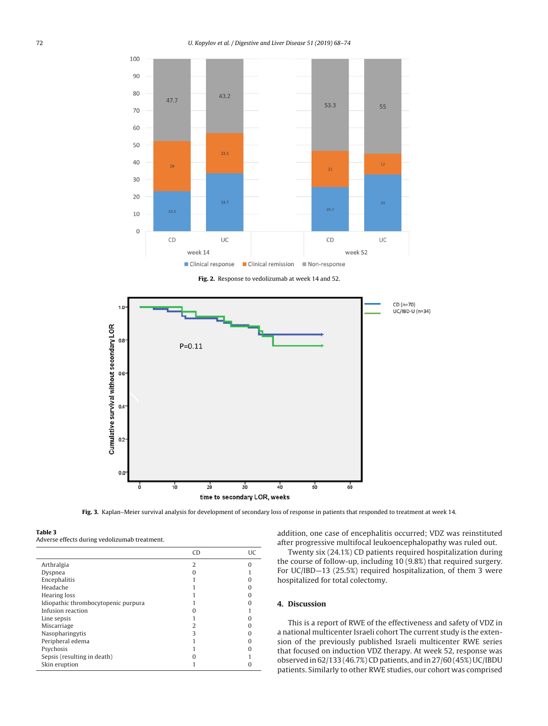<span id="page-4-0"></span>

**Fig. 2.** Response to vedolizumab at week 14 and 52.



**Fig. 3.** Kaplan–Meier survival analysis for development of secondary loss of response in patients that responded to treatment at week 14.

**Table 3**

Adverse effects during vedolizumab treatment.

|                                     |   | <b>UC</b> |
|-------------------------------------|---|-----------|
| Arthralgia                          | フ |           |
| Dyspnea                             |   |           |
| Encephalitis                        |   |           |
| Headache                            |   |           |
| Hearing loss                        |   |           |
| Idiopathic thrombocytopenic purpura |   |           |
| Infusion reaction                   |   |           |
| Line sepsis                         |   |           |
| Miscarriage                         |   |           |
| Nasopharingytis                     |   |           |
| Peripheral edema                    |   |           |
| Psychosis                           |   |           |
| Sepsis (resulting in death)         |   |           |
| Skin eruption                       |   |           |

addition, one case of encephalitis occurred; VDZ was reinstituted after progressive multifocal leukoencephalopathy was ruled out.

Twenty six (24.1%) CD patients required hospitalization during the course of follow-up, including 10 (9.8%) that required surgery. For UC/IBD—13 (25.5%) required hospitalization, of them 3 were hospitalized for total colectomy.

#### **4. Discussion**

This is a report of RWE of the effectiveness and safety of VDZ in a national multicenter Israeli cohort The current study is the extension of the previously published Israeli multicenter RWE series that focused on induction VDZ therapy. At week 52, response was observed in 62/133 (46.7%) CD patients, and in 27/60 (45%) UC/IBDU patients. Similarly to other RWE studies, our cohort was comprised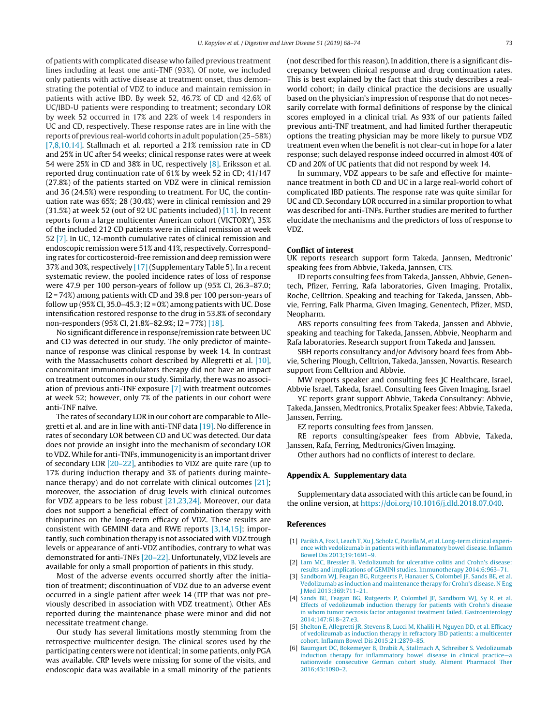<span id="page-5-0"></span>of patients with complicated disease who failed previous treatment lines including at least one anti-TNF (93%). Of note, we included only patients with active disease at treatment onset, thus demonstrating the potential of VDZ to induce and maintain remission in patients with active IBD. By week 52, 46.7% of CD and 42.6% of UC/IBD-U patients were responding to treatment; secondary LOR by week 52 occurred in 17% and 22% of week 14 responders in UC and CD, respectively. These response rates are in line with the reports of previous real-world cohorts inadult population(25–58%) [\[7,8,10,14\].](#page-6-0) Stallmach et al. reported a 21% remission rate in CD and 25% in UC after 54 weeks; clinical response rates were at week 54 were 25% in CD and 38% in UC, respectively [\[8\].](#page-6-0) Eriksson et al. reported drug continuation rate of 61% by week 52 in CD; 41/147 (27.8%) of the patients started on VDZ were in clinical remission and 36 (24.5%) were responding to treatment. For UC, the continuation rate was 65%; 28 (30.4%) were in clinical remission and 29  $(31.5%)$  at week 52 (out of 92 UC patients included) [\[11\].](#page-6-0) In recent reports form a large multicenter American cohort (VICTORY), 35% of the included 212 CD patients were in clinical remission at week 52 [\[7\].](#page-6-0) In UC, 12-month cumulative rates of clinical remission and endoscopic remission were 51% and 41%, respectively. Corresponding rates for corticosteroid-free remission and deep remission were 37% and 30%, respectively [\[17\]](#page-6-0) (Supplementary Table 5). In a recent systematic review, the pooled incidence rates of loss of response were 47.9 per 100 person-years of follow up (95% CI, 26.3–87.0; I2 = 74%) among patients with CD and 39.8 per 100 person-years of follow up (95% CI, 35.0–45.3;  $I2 = 0\%$ ) among patients with UC. Dose intensification restored response to the drug in 53.8% of secondary non-responders (95% CI, 21.8%–82.9%; I2 = 77%) [\[18\].](#page-6-0)

No significant difference in response/remission rate between UC and CD was detected in our study. The only predictor of maintenance of response was clinical response by week 14. In contrast with the Massachusetts cohort described by Allegretti et al. [\[10\],](#page-6-0) concomitant immunomodulators therapy did not have an impact on treatment outcomes in our study. Similarly, there was no association of previous anti-TNF exposure [\[7\]](#page-6-0) with treatment outcomes at week 52; however, only 7% of the patients in our cohort were anti-TNF naïve.

The rates of secondary LOR in our cohort are comparable to Allegretti et al. and are in line with anti-TNF data [\[19\].](#page-6-0) No difference in rates of secondary LOR between CD and UC was detected. Our data does not provide an insight into the mechanism of secondary LOR to VDZ.While for anti-TNFs, immunogenicity is an important driver of secondary LOR [\[20–22\],](#page-6-0) antibodies to VDZ are quite rare (up to 17% during induction therapy and 3% of patients during maintenance therapy) and do not correlate with clinical outcomes [\[21\];](#page-6-0) moreover, the association of drug levels with clinical outcomes for VDZ appears to be less robust [\[21,23,24\].](#page-6-0) Moreover, our data does not support a beneficial effect of combination therapy with thiopurines on the long-term efficacy of VDZ. These results are consistent with GEMINI data and RWE reports [3,14,15]; importantly, such combination therapy is not associated with VDZ trough levels or appearance of anti-VDZ antibodies, contrary to what was demonstrated for anti-TNFs [\[20–22\].](#page-6-0) Unfortunately, VDZ levels are available for only a small proportion of patients in this study.

Most of the adverse events occurred shortly after the initiation of treatment; discontinuation of VDZ due to an adverse event occurred in a single patient after week 14 (ITP that was not previously described in association with VDZ treatment). Other AEs reported during the maintenance phase were minor and did not necessitate treatment change.

Our study has several limitations mostly stemming from the retrospective multicenter design. The clinical scores used by the participating centers were not identical; in some patients, only PGA was available. CRP levels were missing for some of the visits, and endoscopic data was available in a small minority of the patients (not described for this reason). In addition, there is a significant discrepancy between clinical response and drug continuation rates. This is best explained by the fact that this study describes a realworld cohort; in daily clinical practice the decisions are usually based on the physician's impression of response that do not necessarily correlate with formal definitions of response by the clinical scores employed in a clinical trial. As 93% of our patients failed previous anti-TNF treatment, and had limited further therapeutic options the treating physician may be more likely to pursue VDZ treatment even when the benefit is not clear-cut in hope for a later response; such delayed response indeed occurred in almost 40% of CD and 20% of UC patients that did not respond by week 14.

In summary, VDZ appears to be safe and effective for maintenance treatment in both CD and UC in a large real-world cohort of complicated IBD patients. The response rate was quite similar for UC and CD. Secondary LOR occurred in a similar proportion to what was described for anti-TNFs. Further studies are merited to further elucidate the mechanisms and the predictors of loss of response to VDZ.

## **Conflict of interest**

UK reports research support form Takeda, Jannsen, Medtronic' speaking fees from Abbvie, Takeda, Jannsen, CTS.

ID reports consulting fees from Takeda, Janssen, Abbvie, Genentech, Pfizer, Ferring, Rafa laboratories, Given Imaging, Protalix, Roche, Celltrion. Speaking and teaching for Takeda, Janssen, Abbvie, Ferring, Falk Pharma, Given Imaging, Genentech, Pfizer, MSD, Neopharm.

ABS reports consulting fees from Takeda, Janssen and Abbvie, speaking and teaching for Takeda, Janssen, Abbvie, Neopharm and Rafa laboratories. Research support from Takeda and Janssen.

SBH reports consultancy and/or Advisory board fees from Abbvie, Schering Plough, Celltrion, Takeda, Janssen, Novartis. Research support from Celltrion and Abbvie.

MW reports speaker and consulting fees JC Healthcare, Israel, Abbvie Israel, Takeda, Israel. Consulting fees Given Imaging, Israel

YC reports grant support Abbvie, Takeda Consultancy: Abbvie, Takeda, Janssen, Medtronics, Protalix Speaker fees: Abbvie, Takeda, Janssen, Ferring.

EZ reports consulting fees from Janssen.

RE reports consulting/speaker fees from Abbvie, Takeda, Janssen, Rafa, Ferring, Medtronics/Given Imaging.

Other authors had no conflicts of interest to declare.

### **Appendix A. Supplementary data**

Supplementary data associated with this article can be found, in the online version, at <https://doi.org/10.1016/j.dld.2018.07.040>.

### **References**

- [1] [Parikh](http://refhub.elsevier.com/S1590-8658(18)30877-6/sbref0005) [A,](http://refhub.elsevier.com/S1590-8658(18)30877-6/sbref0005) [Fox](http://refhub.elsevier.com/S1590-8658(18)30877-6/sbref0005) [I,](http://refhub.elsevier.com/S1590-8658(18)30877-6/sbref0005) [Leach](http://refhub.elsevier.com/S1590-8658(18)30877-6/sbref0005) [T,](http://refhub.elsevier.com/S1590-8658(18)30877-6/sbref0005) [Xu](http://refhub.elsevier.com/S1590-8658(18)30877-6/sbref0005) [J,](http://refhub.elsevier.com/S1590-8658(18)30877-6/sbref0005) [Scholz](http://refhub.elsevier.com/S1590-8658(18)30877-6/sbref0005) [C,](http://refhub.elsevier.com/S1590-8658(18)30877-6/sbref0005) [Patella](http://refhub.elsevier.com/S1590-8658(18)30877-6/sbref0005) [M,](http://refhub.elsevier.com/S1590-8658(18)30877-6/sbref0005) [et](http://refhub.elsevier.com/S1590-8658(18)30877-6/sbref0005) [al.](http://refhub.elsevier.com/S1590-8658(18)30877-6/sbref0005) [Long-term](http://refhub.elsevier.com/S1590-8658(18)30877-6/sbref0005) [clinical](http://refhub.elsevier.com/S1590-8658(18)30877-6/sbref0005) [experi](http://refhub.elsevier.com/S1590-8658(18)30877-6/sbref0005)[ence](http://refhub.elsevier.com/S1590-8658(18)30877-6/sbref0005) [with](http://refhub.elsevier.com/S1590-8658(18)30877-6/sbref0005) [vedolizumab](http://refhub.elsevier.com/S1590-8658(18)30877-6/sbref0005) [in](http://refhub.elsevier.com/S1590-8658(18)30877-6/sbref0005) [patients](http://refhub.elsevier.com/S1590-8658(18)30877-6/sbref0005) [with](http://refhub.elsevier.com/S1590-8658(18)30877-6/sbref0005) [inflammatory](http://refhub.elsevier.com/S1590-8658(18)30877-6/sbref0005) [bowel](http://refhub.elsevier.com/S1590-8658(18)30877-6/sbref0005) [disease.](http://refhub.elsevier.com/S1590-8658(18)30877-6/sbref0005) [Inflamm](http://refhub.elsevier.com/S1590-8658(18)30877-6/sbref0005) [Bowel](http://refhub.elsevier.com/S1590-8658(18)30877-6/sbref0005) [Dis](http://refhub.elsevier.com/S1590-8658(18)30877-6/sbref0005) [2013;19:1691–9.](http://refhub.elsevier.com/S1590-8658(18)30877-6/sbref0005)
- [2] [Lam](http://refhub.elsevier.com/S1590-8658(18)30877-6/sbref0010) [MC,](http://refhub.elsevier.com/S1590-8658(18)30877-6/sbref0010) [Bressler](http://refhub.elsevier.com/S1590-8658(18)30877-6/sbref0010) [B.](http://refhub.elsevier.com/S1590-8658(18)30877-6/sbref0010) [Vedolizumab](http://refhub.elsevier.com/S1590-8658(18)30877-6/sbref0010) [for](http://refhub.elsevier.com/S1590-8658(18)30877-6/sbref0010) [ulcerative](http://refhub.elsevier.com/S1590-8658(18)30877-6/sbref0010) [colitis](http://refhub.elsevier.com/S1590-8658(18)30877-6/sbref0010) [and](http://refhub.elsevier.com/S1590-8658(18)30877-6/sbref0010) [Crohn's](http://refhub.elsevier.com/S1590-8658(18)30877-6/sbref0010) [disease:](http://refhub.elsevier.com/S1590-8658(18)30877-6/sbref0010) [results](http://refhub.elsevier.com/S1590-8658(18)30877-6/sbref0010) [and](http://refhub.elsevier.com/S1590-8658(18)30877-6/sbref0010) [implications](http://refhub.elsevier.com/S1590-8658(18)30877-6/sbref0010) [of](http://refhub.elsevier.com/S1590-8658(18)30877-6/sbref0010) [GEMINI](http://refhub.elsevier.com/S1590-8658(18)30877-6/sbref0010) [studies.](http://refhub.elsevier.com/S1590-8658(18)30877-6/sbref0010) [Immunotherapy](http://refhub.elsevier.com/S1590-8658(18)30877-6/sbref0010) [2014;6:963–71.](http://refhub.elsevier.com/S1590-8658(18)30877-6/sbref0010)
- [3] [Sandborn](http://refhub.elsevier.com/S1590-8658(18)30877-6/sbref0015) [WJ,](http://refhub.elsevier.com/S1590-8658(18)30877-6/sbref0015) [Feagan](http://refhub.elsevier.com/S1590-8658(18)30877-6/sbref0015) [BG,](http://refhub.elsevier.com/S1590-8658(18)30877-6/sbref0015) [Rutgeerts](http://refhub.elsevier.com/S1590-8658(18)30877-6/sbref0015) [P,](http://refhub.elsevier.com/S1590-8658(18)30877-6/sbref0015) [Hanauer](http://refhub.elsevier.com/S1590-8658(18)30877-6/sbref0015) [S,](http://refhub.elsevier.com/S1590-8658(18)30877-6/sbref0015) [Colombel](http://refhub.elsevier.com/S1590-8658(18)30877-6/sbref0015) [JF,](http://refhub.elsevier.com/S1590-8658(18)30877-6/sbref0015) [Sands](http://refhub.elsevier.com/S1590-8658(18)30877-6/sbref0015) [BE,](http://refhub.elsevier.com/S1590-8658(18)30877-6/sbref0015) [et](http://refhub.elsevier.com/S1590-8658(18)30877-6/sbref0015) [al.](http://refhub.elsevier.com/S1590-8658(18)30877-6/sbref0015) [Vedolizumab](http://refhub.elsevier.com/S1590-8658(18)30877-6/sbref0015) [as](http://refhub.elsevier.com/S1590-8658(18)30877-6/sbref0015) [induction](http://refhub.elsevier.com/S1590-8658(18)30877-6/sbref0015) [and](http://refhub.elsevier.com/S1590-8658(18)30877-6/sbref0015) [maintenance](http://refhub.elsevier.com/S1590-8658(18)30877-6/sbref0015) [therapy](http://refhub.elsevier.com/S1590-8658(18)30877-6/sbref0015) [for](http://refhub.elsevier.com/S1590-8658(18)30877-6/sbref0015) [Crohn's](http://refhub.elsevier.com/S1590-8658(18)30877-6/sbref0015) [disease.](http://refhub.elsevier.com/S1590-8658(18)30877-6/sbref0015) [N](http://refhub.elsevier.com/S1590-8658(18)30877-6/sbref0015) [Eng](http://refhub.elsevier.com/S1590-8658(18)30877-6/sbref0015) [J](http://refhub.elsevier.com/S1590-8658(18)30877-6/sbref0015) [Med](http://refhub.elsevier.com/S1590-8658(18)30877-6/sbref0015) [2013;369:711–21.](http://refhub.elsevier.com/S1590-8658(18)30877-6/sbref0015)
- [4] [Sands](http://refhub.elsevier.com/S1590-8658(18)30877-6/sbref0020) [BE,](http://refhub.elsevier.com/S1590-8658(18)30877-6/sbref0020) [Feagan](http://refhub.elsevier.com/S1590-8658(18)30877-6/sbref0020) [BG,](http://refhub.elsevier.com/S1590-8658(18)30877-6/sbref0020) [Rutgeerts](http://refhub.elsevier.com/S1590-8658(18)30877-6/sbref0020) [P,](http://refhub.elsevier.com/S1590-8658(18)30877-6/sbref0020) [Colombel](http://refhub.elsevier.com/S1590-8658(18)30877-6/sbref0020) [JF,](http://refhub.elsevier.com/S1590-8658(18)30877-6/sbref0020) [Sandborn](http://refhub.elsevier.com/S1590-8658(18)30877-6/sbref0020) [WJ,](http://refhub.elsevier.com/S1590-8658(18)30877-6/sbref0020) [Sy](http://refhub.elsevier.com/S1590-8658(18)30877-6/sbref0020) [R,](http://refhub.elsevier.com/S1590-8658(18)30877-6/sbref0020) [et](http://refhub.elsevier.com/S1590-8658(18)30877-6/sbref0020) [al.](http://refhub.elsevier.com/S1590-8658(18)30877-6/sbref0020) [Effects](http://refhub.elsevier.com/S1590-8658(18)30877-6/sbref0020) [of](http://refhub.elsevier.com/S1590-8658(18)30877-6/sbref0020) [vedolizumab](http://refhub.elsevier.com/S1590-8658(18)30877-6/sbref0020) [induction](http://refhub.elsevier.com/S1590-8658(18)30877-6/sbref0020) [therapy](http://refhub.elsevier.com/S1590-8658(18)30877-6/sbref0020) [for](http://refhub.elsevier.com/S1590-8658(18)30877-6/sbref0020) [patients](http://refhub.elsevier.com/S1590-8658(18)30877-6/sbref0020) [with](http://refhub.elsevier.com/S1590-8658(18)30877-6/sbref0020) [Crohn's](http://refhub.elsevier.com/S1590-8658(18)30877-6/sbref0020) [disease](http://refhub.elsevier.com/S1590-8658(18)30877-6/sbref0020) [in](http://refhub.elsevier.com/S1590-8658(18)30877-6/sbref0020) [whom](http://refhub.elsevier.com/S1590-8658(18)30877-6/sbref0020) [tumor](http://refhub.elsevier.com/S1590-8658(18)30877-6/sbref0020) [necrosis](http://refhub.elsevier.com/S1590-8658(18)30877-6/sbref0020) [factor](http://refhub.elsevier.com/S1590-8658(18)30877-6/sbref0020) [antagonist](http://refhub.elsevier.com/S1590-8658(18)30877-6/sbref0020) [treatment](http://refhub.elsevier.com/S1590-8658(18)30877-6/sbref0020) [failed.](http://refhub.elsevier.com/S1590-8658(18)30877-6/sbref0020) [Gastroenterology](http://refhub.elsevier.com/S1590-8658(18)30877-6/sbref0020) [2014;147:618–27.e3.](http://refhub.elsevier.com/S1590-8658(18)30877-6/sbref0020)
- [5] [Shelton](http://refhub.elsevier.com/S1590-8658(18)30877-6/sbref0025) [E,](http://refhub.elsevier.com/S1590-8658(18)30877-6/sbref0025) [Allegretti](http://refhub.elsevier.com/S1590-8658(18)30877-6/sbref0025) [JR,](http://refhub.elsevier.com/S1590-8658(18)30877-6/sbref0025) [Stevens](http://refhub.elsevier.com/S1590-8658(18)30877-6/sbref0025) [B,](http://refhub.elsevier.com/S1590-8658(18)30877-6/sbref0025) [Lucci](http://refhub.elsevier.com/S1590-8658(18)30877-6/sbref0025) [M,](http://refhub.elsevier.com/S1590-8658(18)30877-6/sbref0025) [Khalili](http://refhub.elsevier.com/S1590-8658(18)30877-6/sbref0025) [H,](http://refhub.elsevier.com/S1590-8658(18)30877-6/sbref0025) [Nguyen](http://refhub.elsevier.com/S1590-8658(18)30877-6/sbref0025) [DD,](http://refhub.elsevier.com/S1590-8658(18)30877-6/sbref0025) [et](http://refhub.elsevier.com/S1590-8658(18)30877-6/sbref0025) [al.](http://refhub.elsevier.com/S1590-8658(18)30877-6/sbref0025) [Efficacy](http://refhub.elsevier.com/S1590-8658(18)30877-6/sbref0025) [of](http://refhub.elsevier.com/S1590-8658(18)30877-6/sbref0025) [vedolizumab](http://refhub.elsevier.com/S1590-8658(18)30877-6/sbref0025) [as](http://refhub.elsevier.com/S1590-8658(18)30877-6/sbref0025) [induction](http://refhub.elsevier.com/S1590-8658(18)30877-6/sbref0025) [therapy](http://refhub.elsevier.com/S1590-8658(18)30877-6/sbref0025) [in](http://refhub.elsevier.com/S1590-8658(18)30877-6/sbref0025) [refractory](http://refhub.elsevier.com/S1590-8658(18)30877-6/sbref0025) [IBD](http://refhub.elsevier.com/S1590-8658(18)30877-6/sbref0025) [patients:](http://refhub.elsevier.com/S1590-8658(18)30877-6/sbref0025) [a](http://refhub.elsevier.com/S1590-8658(18)30877-6/sbref0025) [multicenter](http://refhub.elsevier.com/S1590-8658(18)30877-6/sbref0025) [cohort.](http://refhub.elsevier.com/S1590-8658(18)30877-6/sbref0025) [Inflamm](http://refhub.elsevier.com/S1590-8658(18)30877-6/sbref0025) [Bowel](http://refhub.elsevier.com/S1590-8658(18)30877-6/sbref0025) [Dis](http://refhub.elsevier.com/S1590-8658(18)30877-6/sbref0025) [2015;21:2879–85.](http://refhub.elsevier.com/S1590-8658(18)30877-6/sbref0025)
- [6] [Baumgart](http://refhub.elsevier.com/S1590-8658(18)30877-6/sbref0030) [DC,](http://refhub.elsevier.com/S1590-8658(18)30877-6/sbref0030) [Bokemeyer](http://refhub.elsevier.com/S1590-8658(18)30877-6/sbref0030) [B,](http://refhub.elsevier.com/S1590-8658(18)30877-6/sbref0030) [Drabik](http://refhub.elsevier.com/S1590-8658(18)30877-6/sbref0030) [A,](http://refhub.elsevier.com/S1590-8658(18)30877-6/sbref0030) [Stallmach](http://refhub.elsevier.com/S1590-8658(18)30877-6/sbref0030) [A,](http://refhub.elsevier.com/S1590-8658(18)30877-6/sbref0030) [Schreiber](http://refhub.elsevier.com/S1590-8658(18)30877-6/sbref0030) [S.](http://refhub.elsevier.com/S1590-8658(18)30877-6/sbref0030) [Vedolizumab](http://refhub.elsevier.com/S1590-8658(18)30877-6/sbref0030) [induction](http://refhub.elsevier.com/S1590-8658(18)30877-6/sbref0030) [therapy](http://refhub.elsevier.com/S1590-8658(18)30877-6/sbref0030) [for](http://refhub.elsevier.com/S1590-8658(18)30877-6/sbref0030) [inflammatory](http://refhub.elsevier.com/S1590-8658(18)30877-6/sbref0030) [bowel](http://refhub.elsevier.com/S1590-8658(18)30877-6/sbref0030) [disease](http://refhub.elsevier.com/S1590-8658(18)30877-6/sbref0030) [in](http://refhub.elsevier.com/S1590-8658(18)30877-6/sbref0030) [clinical](http://refhub.elsevier.com/S1590-8658(18)30877-6/sbref0030) [practice—a](http://refhub.elsevier.com/S1590-8658(18)30877-6/sbref0030) [nationwide](http://refhub.elsevier.com/S1590-8658(18)30877-6/sbref0030) [consecutive](http://refhub.elsevier.com/S1590-8658(18)30877-6/sbref0030) [German](http://refhub.elsevier.com/S1590-8658(18)30877-6/sbref0030) [cohort](http://refhub.elsevier.com/S1590-8658(18)30877-6/sbref0030) [study.](http://refhub.elsevier.com/S1590-8658(18)30877-6/sbref0030) [Aliment](http://refhub.elsevier.com/S1590-8658(18)30877-6/sbref0030) [Pharmacol](http://refhub.elsevier.com/S1590-8658(18)30877-6/sbref0030) [Ther](http://refhub.elsevier.com/S1590-8658(18)30877-6/sbref0030) [2016;43:1090–2.](http://refhub.elsevier.com/S1590-8658(18)30877-6/sbref0030)